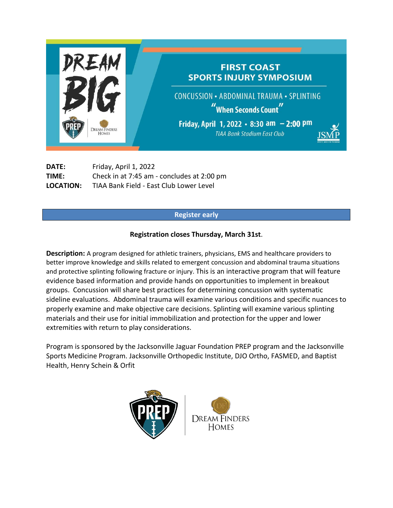

**DATE:** Friday, April 1, 2022 **TIME:** Check in at 7:45 am - concludes at 2:00 pm **LOCATION:** TIAA Bank Field - East Club Lower Level

## **Register early**

## **Registration closes Thursday, March 31st**.

**Description:** A program designed for athletic trainers, physicians, EMS and healthcare providers to better improve knowledge and skills related to emergent concussion and abdominal trauma situations and protective splinting following fracture or injury. This is an interactive program that will feature evidence based information and provide hands on opportunities to implement in breakout groups. Concussion will share best practices for determining concussion with systematic sideline evaluations. Abdominal trauma will examine various conditions and specific nuances to properly examine and make objective care decisions. Splinting will examine various splinting materials and their use for initial immobilization and protection for the upper and lower extremities with return to play considerations.

Program is sponsored by the Jacksonville Jaguar Foundation PREP program and the Jacksonville Sports Medicine Program. Jacksonville Orthopedic Institute, DJO Ortho, FASMED, and Baptist Health, Henry Schein & Orfit

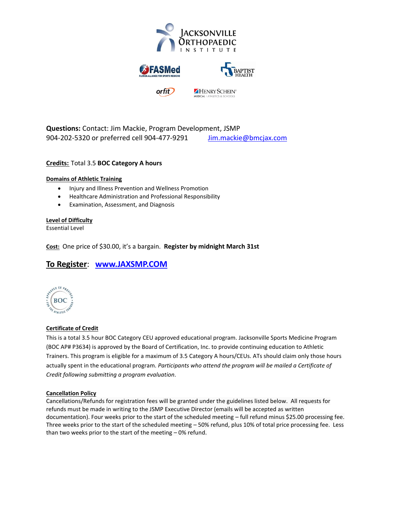



**Questions:** Contact: Jim Mackie, Program Development, JSMP 904-202-5320 or preferred cell 904-477-9291 [Jim.mackie@bmcjax.com](mailto:Jim.mackie@bmcjax.com)

### **Credits:** Total 3.5 **BOC Category A hours**

### **Domains of Athletic Training**

- Injury and Illness Prevention and Wellness Promotion
- Healthcare Administration and Professional Responsibility
- Examination, Assessment, and Diagnosis

### **Level of Difficulty**

Essential Level

**Cost:** One price of \$30.00, it's a bargain. **Register by midnight March 31st**

# **To Register**: **[www.JAXSMP.COM](http://www.jaxsmp.com/)**



### **Certificate of Credit**

This is a total 3.5 hour BOC Category CEU approved educational program. Jacksonville Sports Medicine Program (BOC AP# P3634) is approved by the Board of Certification, Inc. to provide continuing education to Athletic Trainers. This program is eligible for a maximum of 3.5 Category A hours/CEUs. ATs should claim only those hours actually spent in the educational program. *Participants who attend the program will be mailed a Certificate of Credit following submitting a program evaluation.*

### **Cancellation Policy**

Cancellations/Refunds for registration fees will be granted under the guidelines listed below. All requests for refunds must be made in writing to the JSMP Executive Director (emails will be accepted as written documentation). Four weeks prior to the start of the scheduled meeting – full refund minus \$25.00 processing fee. Three weeks prior to the start of the scheduled meeting – 50% refund, plus 10% of total price processing fee. Less than two weeks prior to the start of the meeting – 0% refund.